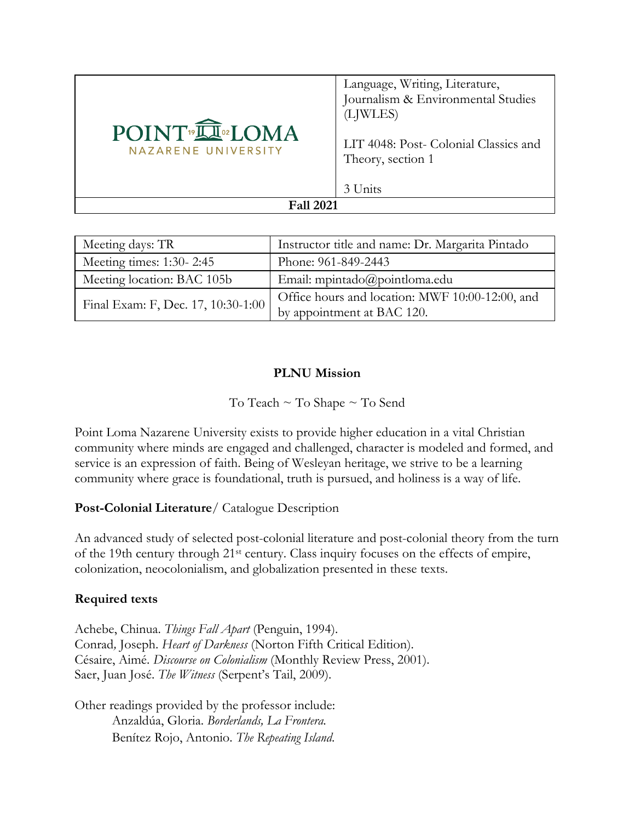| POINT <sup>®</sup> IN®LOMA<br>NAZARENE UNIVERSITY | Language, Writing, Literature,<br>Journalism & Environmental Studies<br>(LJWLES)<br>LIT 4048: Post- Colonial Classics and<br>Theory, section 1<br>3 Units |  |
|---------------------------------------------------|-----------------------------------------------------------------------------------------------------------------------------------------------------------|--|
| <b>Fall 2021</b>                                  |                                                                                                                                                           |  |

| Meeting days: TR                   | Instructor title and name: Dr. Margarita Pintado |
|------------------------------------|--------------------------------------------------|
| Meeting times: 1:30-2:45           | Phone: 961-849-2443                              |
| Meeting location: BAC 105b         | Email: mpintado@pointloma.edu                    |
| Final Exam: F, Dec. 17, 10:30-1:00 | Office hours and location: MWF 10:00-12:00, and  |
|                                    | by appointment at BAC 120.                       |

## **PLNU Mission**

To Teach ~ To Shape ~ To Send

Point Loma Nazarene University exists to provide higher education in a vital Christian community where minds are engaged and challenged, character is modeled and formed, and service is an expression of faith. Being of Wesleyan heritage, we strive to be a learning community where grace is foundational, truth is pursued, and holiness is a way of life.

## **Post-Colonial Literature**/ Catalogue Description

An advanced study of selected post-colonial literature and post-colonial theory from the turn of the 19th century through 21st century. Class inquiry focuses on the effects of empire, colonization, neocolonialism, and globalization presented in these texts.

## **Required texts**

Achebe, Chinua. *Things Fall Apart* (Penguin, 1994). Conrad*,* Joseph. *Heart of Darkness* (Norton Fifth Critical Edition). Césaire, Aimé. *Discourse on Colonialism* (Monthly Review Press, 2001). Saer, Juan José. *The Witness* (Serpent's Tail, 2009).

Other readings provided by the professor include: Anzaldúa, Gloria. *Borderlands, La Frontera.*  Benítez Rojo, Antonio. *The Repeating Island*.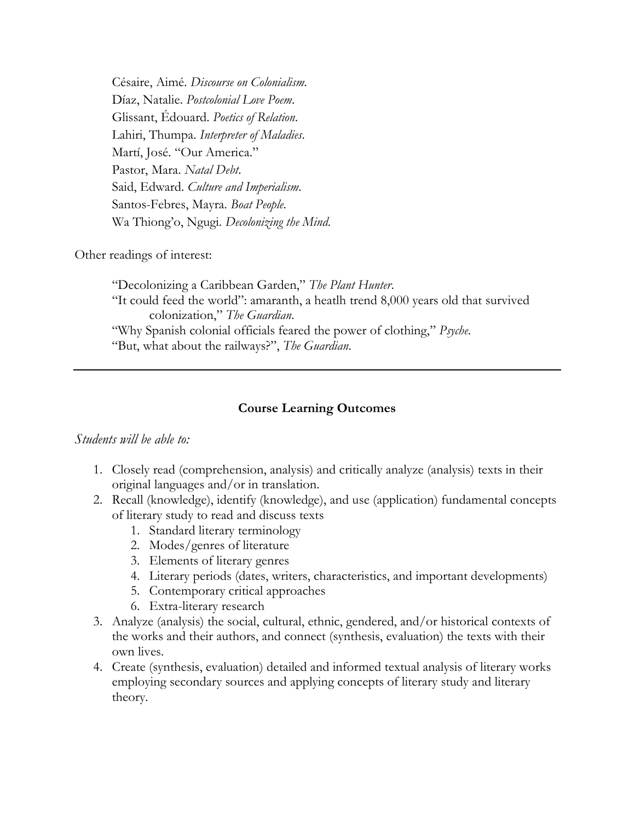Césaire, Aimé. *Discourse on Colonialism.* Díaz, Natalie. *Postcolonial Love Poem*. Glissant, Édouard. *Poetics of Relation*. Lahiri, Thumpa. *Interpreter of Maladies*. Martí, José. "Our America." Pastor, Mara. *Natal Debt*. Said, Edward. *Culture and Imperialism*. Santos-Febres, Mayra. *Boat People*. Wa Thiong'o, Ngugi. *Decolonizing the Mind*.

Other readings of interest:

"Decolonizing a Caribbean Garden," *The Plant Hunter*. "It could feed the world": amaranth, a heatlh trend 8,000 years old that survived colonization," *The Guardian*. "Why Spanish colonial officials feared the power of clothing," *Psyche*. "But, what about the railways?", *The Guardian*.

## **Course Learning Outcomes**

#### *Students will be able to:*

- 1. Closely read (comprehension, analysis) and critically analyze (analysis) texts in their original languages and/or in translation.
- 2. Recall (knowledge), identify (knowledge), and use (application) fundamental concepts of literary study to read and discuss texts
	- 1. Standard literary terminology
	- 2. Modes/genres of literature
	- 3. Elements of literary genres
	- 4. Literary periods (dates, writers, characteristics, and important developments)
	- 5. Contemporary critical approaches
	- 6. Extra-literary research
- 3. Analyze (analysis) the social, cultural, ethnic, gendered, and/or historical contexts of the works and their authors, and connect (synthesis, evaluation) the texts with their own lives.
- 4. Create (synthesis, evaluation) detailed and informed textual analysis of literary works employing secondary sources and applying concepts of literary study and literary theory.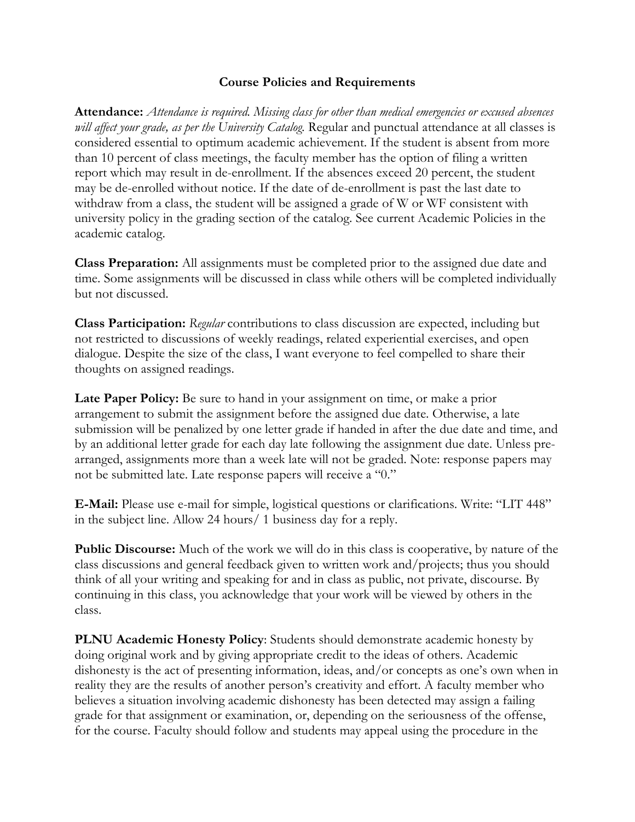### **Course Policies and Requirements**

**Attendance:** *Attendance is required. Missing class for other than medical emergencies or excused absences will affect your grade, as per the University Catalog.* Regular and punctual attendance at all classes is considered essential to optimum academic achievement. If the student is absent from more than 10 percent of class meetings, the faculty member has the option of filing a written report which may result in de-enrollment. If the absences exceed 20 percent, the student may be de-enrolled without notice. If the date of de-enrollment is past the last date to withdraw from a class, the student will be assigned a grade of W or WF consistent with university policy in the grading section of the catalog. See current Academic Policies in the academic catalog.

**Class Preparation:** All assignments must be completed prior to the assigned due date and time. Some assignments will be discussed in class while others will be completed individually but not discussed.

**Class Participation:** *Regular* contributions to class discussion are expected, including but not restricted to discussions of weekly readings, related experiential exercises, and open dialogue. Despite the size of the class, I want everyone to feel compelled to share their thoughts on assigned readings.

Late **Paper Policy:** Be sure to hand in your assignment on time, or make a prior arrangement to submit the assignment before the assigned due date. Otherwise, a late submission will be penalized by one letter grade if handed in after the due date and time, and by an additional letter grade for each day late following the assignment due date. Unless prearranged, assignments more than a week late will not be graded. Note: response papers may not be submitted late. Late response papers will receive a "0."

**E-Mail:** Please use e-mail for simple, logistical questions or clarifications. Write: "LIT 448" in the subject line. Allow 24 hours/ 1 business day for a reply.

**Public Discourse:** Much of the work we will do in this class is cooperative, by nature of the class discussions and general feedback given to written work and/projects; thus you should think of all your writing and speaking for and in class as public, not private, discourse. By continuing in this class, you acknowledge that your work will be viewed by others in the class.

**PLNU Academic Honesty Policy**: Students should demonstrate academic honesty by doing original work and by giving appropriate credit to the ideas of others. Academic dishonesty is the act of presenting information, ideas, and/or concepts as one's own when in reality they are the results of another person's creativity and effort. A faculty member who believes a situation involving academic dishonesty has been detected may assign a failing grade for that assignment or examination, or, depending on the seriousness of the offense, for the course. Faculty should follow and students may appeal using the procedure in the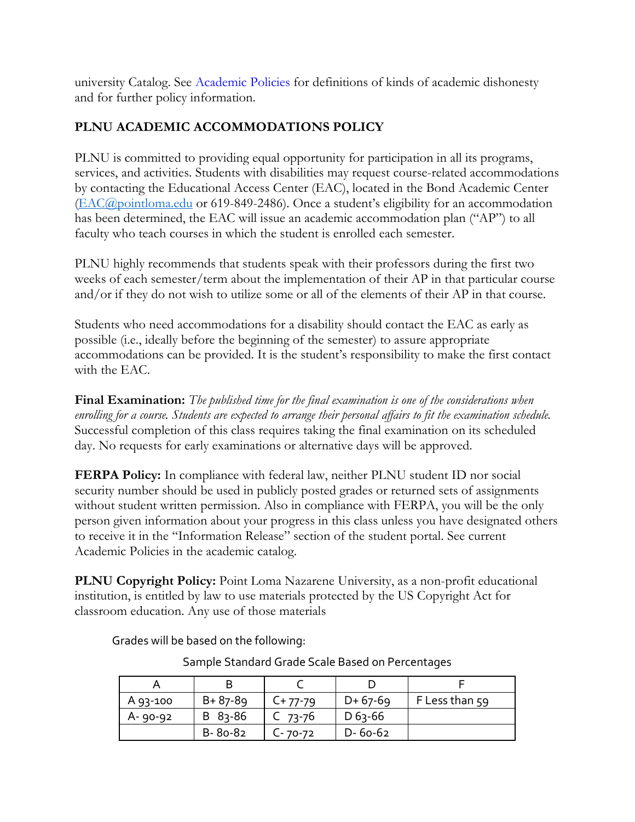university Catalog. See Academic Policies for definitions of kinds of academic dishonesty and for further policy information.

# **PLNU ACADEMIC ACCOMMODATIONS POLICY**

PLNU is committed to providing equal opportunity for participation in all its programs, services, and activities. Students with disabilities may request course-related accommodations by contacting the Educational Access Center (EAC), located in the Bond Academic Center [\(EAC@pointloma.edu](mailto:EAC@pointloma.edu) or 619-849-2486). Once a student's eligibility for an accommodation has been determined, the EAC will issue an academic accommodation plan ("AP") to all faculty who teach courses in which the student is enrolled each semester.

PLNU highly recommends that students speak with their professors during the first two weeks of each semester/term about the implementation of their AP in that particular course and/or if they do not wish to utilize some or all of the elements of their AP in that course.

Students who need accommodations for a disability should contact the EAC as early as possible (i.e., ideally before the beginning of the semester) to assure appropriate accommodations can be provided. It is the student's responsibility to make the first contact with the EAC.

**Final Examination:** *The published time for the final examination is one of the considerations when enrolling for a course. Students are expected to arrange their personal affairs to fit the examination schedule.*  Successful completion of this class requires taking the final examination on its scheduled day. No requests for early examinations or alternative days will be approved.

**FERPA Policy:** In compliance with federal law, neither PLNU student ID nor social security number should be used in publicly posted grades or returned sets of assignments without student written permission. Also in compliance with FERPA, you will be the only person given information about your progress in this class unless you have designated others to receive it in the "Information Release" section of the student portal. See current Academic Policies in the academic catalog.

**PLNU Copyright Policy:** Point Loma Nazarene University, as a non-profit educational institution, is entitled by law to use materials protected by the US Copyright Act for classroom education. Any use of those materials

Grades will be based on the following:

| A 93-100 | $B + 87 - 89$ | $C+77-79$ | $D+67-69$     | F Less than 59 |
|----------|---------------|-----------|---------------|----------------|
| A-90-92  | $B$ 83-86     | C $73-76$ | $D_{63-66}$   |                |
|          | B-80-82       | C- 70-72  | $D - 60 - 62$ |                |

Sample Standard Grade Scale Based on Percentages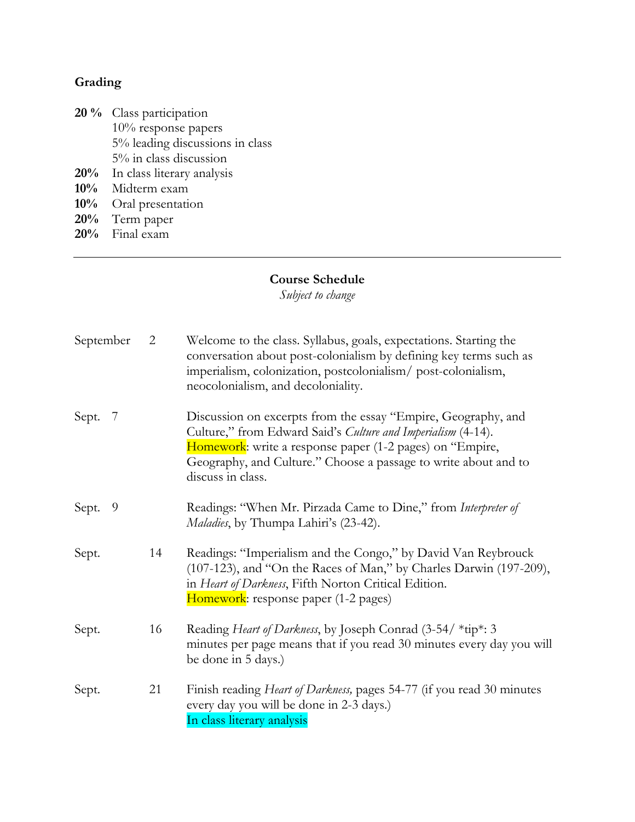# **Grading**

- **20 %** Class participation 10% response papers 5% leading discussions in class 5% in class discussion **20%** In class literary analysis
- **10%** Midterm exam
- **10%** Oral presentation **20%** Term paper
- **20%** Final exam

#### **Course Schedule**

*Subject to change*

| September   | $\overline{2}$ | Welcome to the class. Syllabus, goals, expectations. Starting the<br>conversation about post-colonialism by defining key terms such as<br>imperialism, colonization, postcolonialism/post-colonialism,<br>neocolonialism, and decoloniality.                                      |
|-------------|----------------|-----------------------------------------------------------------------------------------------------------------------------------------------------------------------------------------------------------------------------------------------------------------------------------|
| Sept.<br>-7 |                | Discussion on excerpts from the essay "Empire, Geography, and<br>Culture," from Edward Said's Culture and Imperialism (4-14).<br>Homework: write a response paper (1-2 pages) on "Empire,<br>Geography, and Culture." Choose a passage to write about and to<br>discuss in class. |
| 9<br>Sept.  |                | Readings: "When Mr. Pirzada Came to Dine," from Interpreter of<br>Maladies, by Thumpa Lahiri's (23-42).                                                                                                                                                                           |
| Sept.       | 14             | Readings: "Imperialism and the Congo," by David Van Reybrouck<br>(107-123), and "On the Races of Man," by Charles Darwin (197-209),<br>in Heart of Darkness, Fifth Norton Critical Edition.<br>Homework: response paper (1-2 pages)                                               |
| Sept.       | 16             | Reading Heart of Darkness, by Joseph Conrad (3-54/ *tip*: 3<br>minutes per page means that if you read 30 minutes every day you will<br>be done in 5 days.)                                                                                                                       |
| Sept.       | 21             | Finish reading Heart of Darkness, pages 54-77 (if you read 30 minutes<br>every day you will be done in 2-3 days.)<br>In class literary analysis                                                                                                                                   |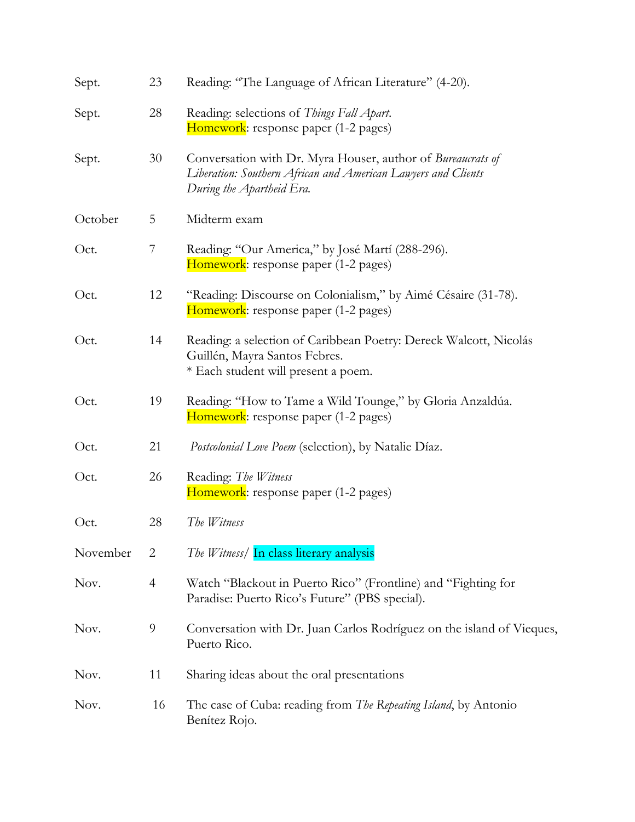| Sept.    | 23             | Reading: "The Language of African Literature" (4-20).                                                                                                     |
|----------|----------------|-----------------------------------------------------------------------------------------------------------------------------------------------------------|
| Sept.    | 28             | Reading: selections of Things Fall Apart.<br>Homework: response paper (1-2 pages)                                                                         |
| Sept.    | 30             | Conversation with Dr. Myra Houser, author of Bureaucrats of<br>Liberation: Southern African and American Lawyers and Clients<br>During the Apartheid Era. |
| October  | 5              | Midterm exam                                                                                                                                              |
| Oct.     | 7              | Reading: "Our America," by José Martí (288-296).<br>Homework: response paper (1-2 pages)                                                                  |
| Oct.     | 12             | "Reading: Discourse on Colonialism," by Aimé Césaire (31-78).<br>Homework: response paper (1-2 pages)                                                     |
| Oct.     | 14             | Reading: a selection of Caribbean Poetry: Dereck Walcott, Nicolás<br>Guillén, Mayra Santos Febres.<br>* Each student will present a poem.                 |
| Oct.     | 19             | Reading: "How to Tame a Wild Tounge," by Gloria Anzaldúa.<br>Homework: response paper (1-2 pages)                                                         |
| Oct.     | 21             | Postcolonial Love Poem (selection), by Natalie Díaz.                                                                                                      |
| Oct.     | 26             | Reading: The Witness<br>Homework: response paper (1-2 pages)                                                                                              |
| Oct.     | 28             | The Witness                                                                                                                                               |
| November | $\overline{2}$ | The Witness/ In class literary analysis                                                                                                                   |
| Nov.     | $\overline{4}$ | Watch "Blackout in Puerto Rico" (Frontline) and "Fighting for<br>Paradise: Puerto Rico's Future" (PBS special).                                           |
| Nov.     | 9              | Conversation with Dr. Juan Carlos Rodríguez on the island of Vieques,<br>Puerto Rico.                                                                     |
| Nov.     | 11             | Sharing ideas about the oral presentations                                                                                                                |
| Nov.     | 16             | The case of Cuba: reading from The Repeating Island, by Antonio<br>Benítez Rojo.                                                                          |